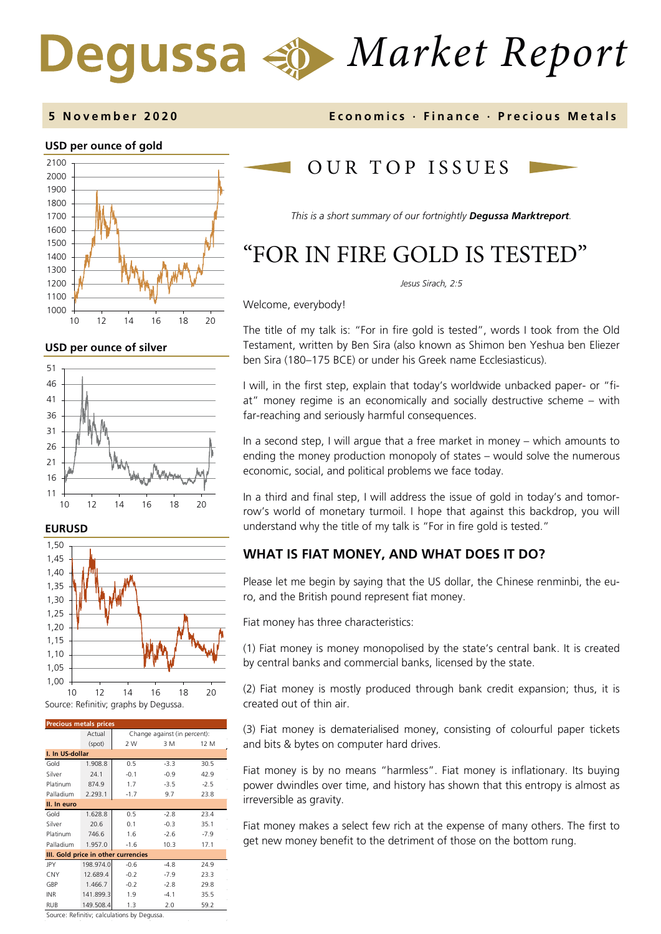# *Market Report* Degussa

#### **5 November 2020 Economics · Finance · Precious M etals**



#### **USD per ounce of silver**







| <b>Precious metals prices</b>       |           |                              |        |        |  |  |
|-------------------------------------|-----------|------------------------------|--------|--------|--|--|
|                                     | Actual    | Change against (in percent): |        |        |  |  |
|                                     | (spot)    | 2 W                          | 3 M    | 12 M   |  |  |
| I. In US-dollar                     |           |                              |        |        |  |  |
| Gold                                | 1.908.8   | 0.5                          | $-3.3$ | 30.5   |  |  |
| Silver                              | 24.1      | $-0.1$                       | $-0.9$ | 42.9   |  |  |
| Platinum                            | 874.9     | 1.7                          | $-3.5$ | $-2.5$ |  |  |
| Palladium                           | 2.293.1   | $-1.7$                       | 9.7    | 23.8   |  |  |
| II. In euro                         |           |                              |        |        |  |  |
| Gold                                | 1.628.8   | 0.5                          | $-2.8$ | 23.4   |  |  |
| Silver                              | 20.6      | 0.1                          | $-0.3$ | 35.1   |  |  |
| Platinum                            | 746.6     | 1.6                          | $-2.6$ | $-7.9$ |  |  |
| Palladium                           | 1.957.0   | $-1.6$                       | 10.3   | 17.1   |  |  |
| III. Gold price in other currencies |           |                              |        |        |  |  |
| JPY                                 | 198.974.0 | $-0.6$                       | $-4.8$ | 24.9   |  |  |
| <b>CNY</b>                          | 12.689.4  | $-0.2$                       | $-7.9$ | 23.3   |  |  |
| GBP                                 | 1.466.7   | $-0.2$                       | $-2.8$ | 29.8   |  |  |
| <b>INR</b>                          | 141.899.3 | 1.9                          | $-4.1$ | 35.5   |  |  |
| <b>RUB</b>                          | 149.508.4 | 1.3                          | 2.0    | 59.2   |  |  |

Source: Refinitiv; calculations by Degussa.

## OUR TOP ISSUE S

*This is a short summary of our fortnightly Degussa Marktreport.* 

## "FOR IN FIRE GOLD IS TESTED"

*Jesus Sirach, 2:5*

Welcome, everybody!

The title of my talk is: "For in fire gold is tested", words I took from the Old Testament, written by Ben Sira (also known as Shimon ben Yeshua ben Eliezer ben Sira (180–175 BCE) or under his Greek name Ecclesiasticus).

I will, in the first step, explain that today's worldwide unbacked paper- or "fiat" money regime is an economically and socially destructive scheme – with far-reaching and seriously harmful consequences.

In a second step, I will argue that a free market in money – which amounts to ending the money production monopoly of states – would solve the numerous economic, social, and political problems we face today.

In a third and final step, I will address the issue of gold in today's and tomorrow's world of monetary turmoil. I hope that against this backdrop, you will understand why the title of my talk is "For in fire gold is tested."

### **WHAT IS FIAT MONEY, AND WHAT DOES IT DO?**

Please let me begin by saying that the US dollar, the Chinese renminbi, the euro, and the British pound represent fiat money.

Fiat money has three characteristics:

(1) Fiat money is money monopolised by the state's central bank. It is created by central banks and commercial banks, licensed by the state.

(2) Fiat money is mostly produced through bank credit expansion; thus, it is created out of thin air.

(3) Fiat money is dematerialised money, consisting of colourful paper tickets and bits & bytes on computer hard drives.

Fiat money is by no means "harmless". Fiat money is inflationary. Its buying power dwindles over time, and history has shown that this entropy is almost as irreversible as gravity.

Fiat money makes a select few rich at the expense of many others. The first to get new money benefit to the detriment of those on the bottom rung.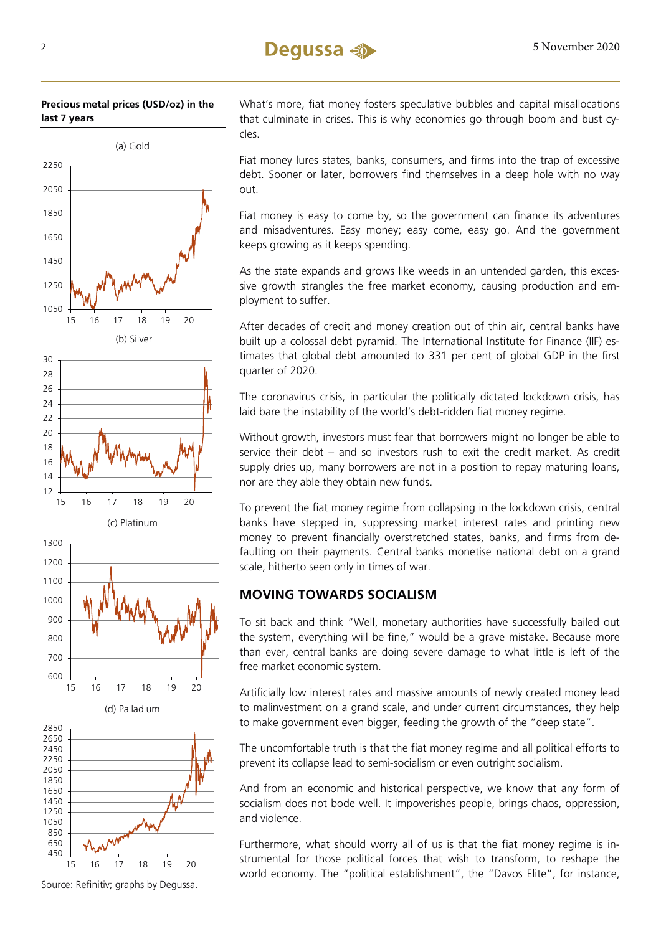



(d) Palladium

15 16 17 18 19 20

600 700



Source: Refinitiv; graphs by Degussa.

What's more, fiat money fosters speculative bubbles and capital misallocations that culminate in crises. This is why economies go through boom and bust cycles.

Fiat money lures states, banks, consumers, and firms into the trap of excessive debt. Sooner or later, borrowers find themselves in a deep hole with no way out.

Fiat money is easy to come by, so the government can finance its adventures and misadventures. Easy money; easy come, easy go. And the government keeps growing as it keeps spending.

As the state expands and grows like weeds in an untended garden, this excessive growth strangles the free market economy, causing production and employment to suffer.

After decades of credit and money creation out of thin air, central banks have built up a colossal debt pyramid. The International Institute for Finance (IIF) estimates that global debt amounted to 331 per cent of global GDP in the first quarter of 2020.

The coronavirus crisis, in particular the politically dictated lockdown crisis, has laid bare the instability of the world's debt-ridden fiat money regime.

Without growth, investors must fear that borrowers might no longer be able to service their debt – and so investors rush to exit the credit market. As credit supply dries up, many borrowers are not in a position to repay maturing loans, nor are they able they obtain new funds.

To prevent the fiat money regime from collapsing in the lockdown crisis, central banks have stepped in, suppressing market interest rates and printing new money to prevent financially overstretched states, banks, and firms from defaulting on their payments. Central banks monetise national debt on a grand scale, hitherto seen only in times of war.

### **MOVING TOWARDS SOCIALISM**

To sit back and think "Well, monetary authorities have successfully bailed out the system, everything will be fine," would be a grave mistake. Because more than ever, central banks are doing severe damage to what little is left of the free market economic system.

Artificially low interest rates and massive amounts of newly created money lead to malinvestment on a grand scale, and under current circumstances, they help to make government even bigger, feeding the growth of the "deep state".

The uncomfortable truth is that the fiat money regime and all political efforts to prevent its collapse lead to semi-socialism or even outright socialism.

And from an economic and historical perspective, we know that any form of socialism does not bode well. It impoverishes people, brings chaos, oppression, and violence.

Furthermore, what should worry all of us is that the fiat money regime is instrumental for those political forces that wish to transform, to reshape the world economy. The "political establishment", the "Davos Elite", for instance,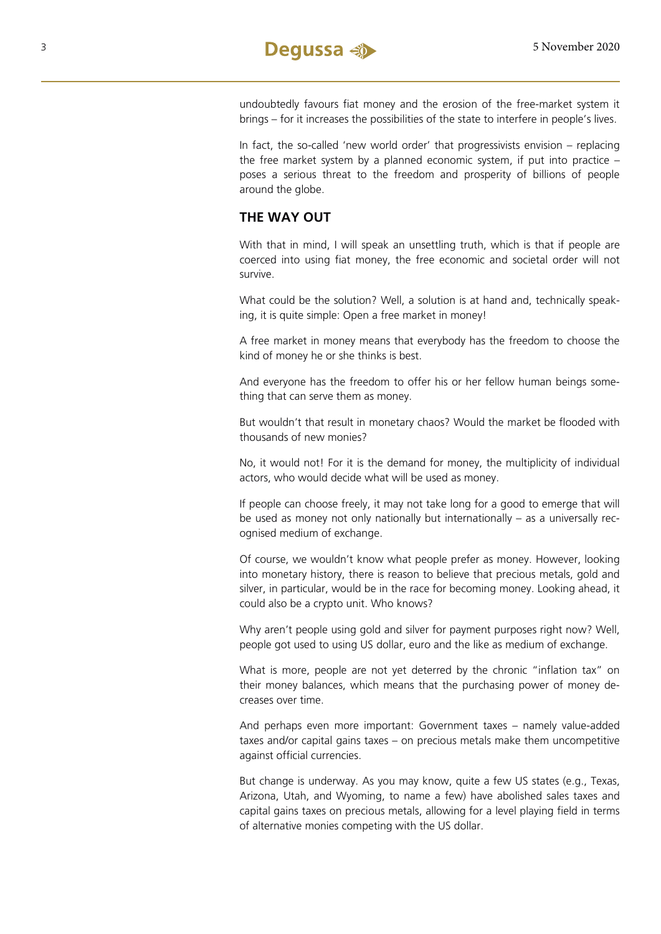

undoubtedly favours fiat money and the erosion of the free-market system it brings – for it increases the possibilities of the state to interfere in people's lives.

In fact, the so-called 'new world order' that progressivists envision – replacing the free market system by a planned economic system, if put into practice – poses a serious threat to the freedom and prosperity of billions of people around the globe.

#### **THE WAY OUT**

With that in mind, I will speak an unsettling truth, which is that if people are coerced into using fiat money, the free economic and societal order will not survive.

What could be the solution? Well, a solution is at hand and, technically speaking, it is quite simple: Open a free market in money!

A free market in money means that everybody has the freedom to choose the kind of money he or she thinks is best.

And everyone has the freedom to offer his or her fellow human beings something that can serve them as money.

But wouldn't that result in monetary chaos? Would the market be flooded with thousands of new monies?

No, it would not! For it is the demand for money, the multiplicity of individual actors, who would decide what will be used as money.

If people can choose freely, it may not take long for a good to emerge that will be used as money not only nationally but internationally – as a universally recognised medium of exchange.

Of course, we wouldn't know what people prefer as money. However, looking into monetary history, there is reason to believe that precious metals, gold and silver, in particular, would be in the race for becoming money. Looking ahead, it could also be a crypto unit. Who knows?

Why aren't people using gold and silver for payment purposes right now? Well, people got used to using US dollar, euro and the like as medium of exchange.

What is more, people are not yet deterred by the chronic "inflation tax" on their money balances, which means that the purchasing power of money decreases over time.

And perhaps even more important: Government taxes – namely value-added taxes and/or capital gains taxes – on precious metals make them uncompetitive against official currencies.

But change is underway. As you may know, quite a few US states (e.g., Texas, Arizona, Utah, and Wyoming, to name a few) have abolished sales taxes and capital gains taxes on precious metals, allowing for a level playing field in terms of alternative monies competing with the US dollar.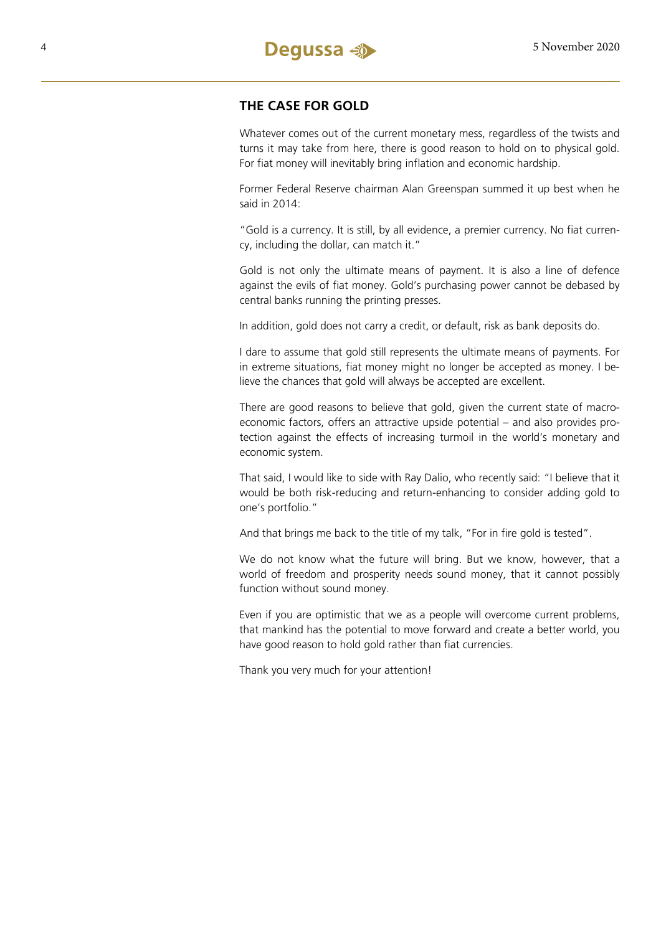

#### **THE CASE FOR GOLD**

Whatever comes out of the current monetary mess, regardless of the twists and turns it may take from here, there is good reason to hold on to physical gold. For fiat money will inevitably bring inflation and economic hardship.

Former Federal Reserve chairman Alan Greenspan summed it up best when he said in 2014:

"Gold is a currency. It is still, by all evidence, a premier currency. No fiat currency, including the dollar, can match it."

Gold is not only the ultimate means of payment. It is also a line of defence against the evils of fiat money. Gold's purchasing power cannot be debased by central banks running the printing presses.

In addition, gold does not carry a credit, or default, risk as bank deposits do.

I dare to assume that gold still represents the ultimate means of payments. For in extreme situations, fiat money might no longer be accepted as money. I believe the chances that gold will always be accepted are excellent.

There are good reasons to believe that gold, given the current state of macroeconomic factors, offers an attractive upside potential – and also provides protection against the effects of increasing turmoil in the world's monetary and economic system.

That said, I would like to side with Ray Dalio, who recently said: "I believe that it would be both risk-reducing and return-enhancing to consider adding gold to one's portfolio."

And that brings me back to the title of my talk, "For in fire gold is tested".

We do not know what the future will bring. But we know, however, that a world of freedom and prosperity needs sound money, that it cannot possibly function without sound money.

Even if you are optimistic that we as a people will overcome current problems, that mankind has the potential to move forward and create a better world, you have good reason to hold gold rather than fiat currencies.

Thank you very much for your attention!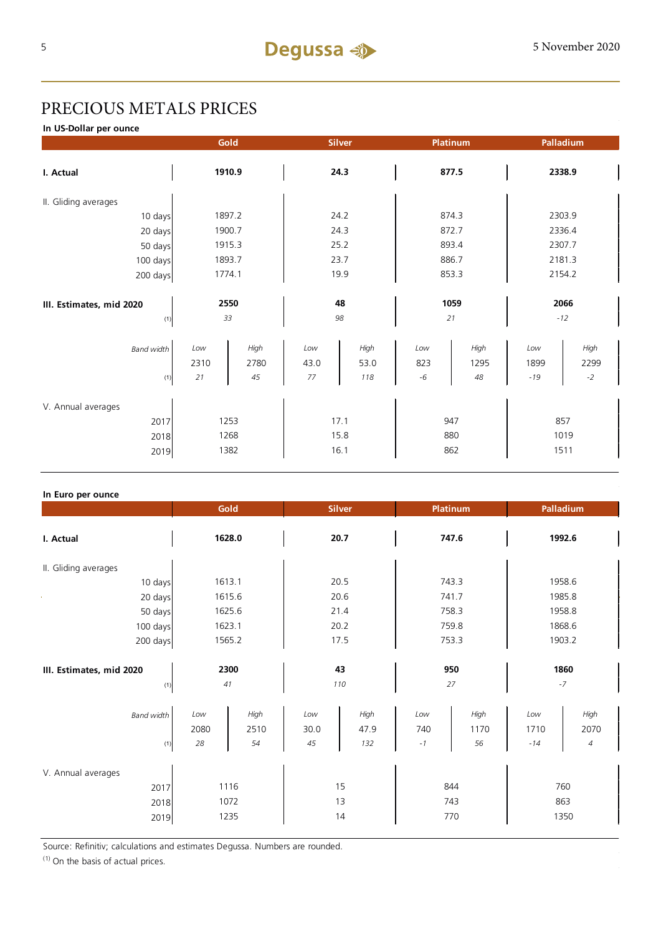### PRECIOUS METALS PRICES

**In US-Dollar per ounce**

|                          |        | Gold   |      | <b>Silver</b> |       | Platinum |        | Palladium |  |
|--------------------------|--------|--------|------|---------------|-------|----------|--------|-----------|--|
| I. Actual                | 1910.9 |        | 24.3 |               | 877.5 |          | 2338.9 |           |  |
| II. Gliding averages     |        |        |      |               |       |          |        |           |  |
| 10 days                  |        | 1897.2 |      | 24.2          |       | 874.3    |        | 2303.9    |  |
| 20 days                  |        | 1900.7 |      | 24.3          |       | 872.7    |        | 2336.4    |  |
| 50 days                  |        | 1915.3 |      | 25.2          |       | 893.4    |        | 2307.7    |  |
| 100 days                 |        | 1893.7 | 23.7 |               | 886.7 |          | 2181.3 |           |  |
| 200 days                 | 1774.1 |        | 19.9 |               | 853.3 |          | 2154.2 |           |  |
|                          |        |        |      |               |       |          |        |           |  |
| III. Estimates, mid 2020 | 2550   |        | 48   |               | 1059  |          | 2066   |           |  |
| (1)                      |        | 33     |      | 98            | 21    |          |        | $-12$     |  |
| <b>Band width</b>        | Low    | High   | Low  | High          | Low   | High     | Low    | High      |  |
|                          | 2310   | 2780   | 43.0 | 53.0          | 823   | 1295     | 1899   | 2299      |  |
| (1)                      | 21     | 45     | 77   | 118           | $-6$  | 48       | $-19$  | $-2$      |  |
| V. Annual averages       |        |        |      |               |       |          |        |           |  |
| 2017                     | 1253   |        | 17.1 |               | 947   |          | 857    |           |  |
| 2018                     | 1268   |        | 15.8 |               | 880   |          | 1019   |           |  |
| 2019                     |        | 1382   |      | 16.1          |       | 862      |        | 1511      |  |

#### **In Euro per ounce**

|                                            |                   | Gold                 |                       | <b>Silver</b>       |                    | <b>Platinum</b>    |                      | Palladium                      |  |
|--------------------------------------------|-------------------|----------------------|-----------------------|---------------------|--------------------|--------------------|----------------------|--------------------------------|--|
| I. Actual                                  |                   | 1628.0               |                       | 20.7                |                    | 747.6              |                      | 1992.6                         |  |
| II. Gliding averages                       |                   |                      |                       |                     |                    |                    |                      |                                |  |
| 10 days                                    |                   | 1613.1               |                       | 20.5                |                    | 743.3              |                      | 1958.6                         |  |
| 20 days                                    |                   | 1615.6               |                       | 20.6                |                    | 741.7              |                      | 1985.8                         |  |
| 50 days                                    |                   | 1625.6               |                       | 21.4                |                    | 758.3              |                      | 1958.8                         |  |
| 100 days                                   |                   | 1623.1               |                       | 20.2                |                    | 759.8              |                      | 1868.6                         |  |
| 200 days                                   |                   | 1565.2               |                       | 17.5                |                    | 753.3              |                      | 1903.2                         |  |
| III. Estimates, mid 2020<br>(1)            |                   | 2300<br>41           |                       | 43<br>110           |                    | 950<br>27          |                      | 1860<br>$-7$                   |  |
| <b>Band width</b><br>(1)                   | Low<br>2080<br>28 | High<br>2510<br>54   | Low<br>30.0<br>$45\,$ | High<br>47.9<br>132 | Low<br>740<br>$-1$ | High<br>1170<br>56 | Low<br>1710<br>$-14$ | High<br>2070<br>$\overline{4}$ |  |
| V. Annual averages<br>2017<br>2018<br>2019 |                   | 1116<br>1072<br>1235 |                       | 15<br>13<br>14      |                    | 844<br>743<br>770  |                      | 760<br>863<br>1350             |  |

Source: Refinitiv; calculations and estimates Degussa. Numbers are rounded.

 $(1)$  On the basis of actual prices.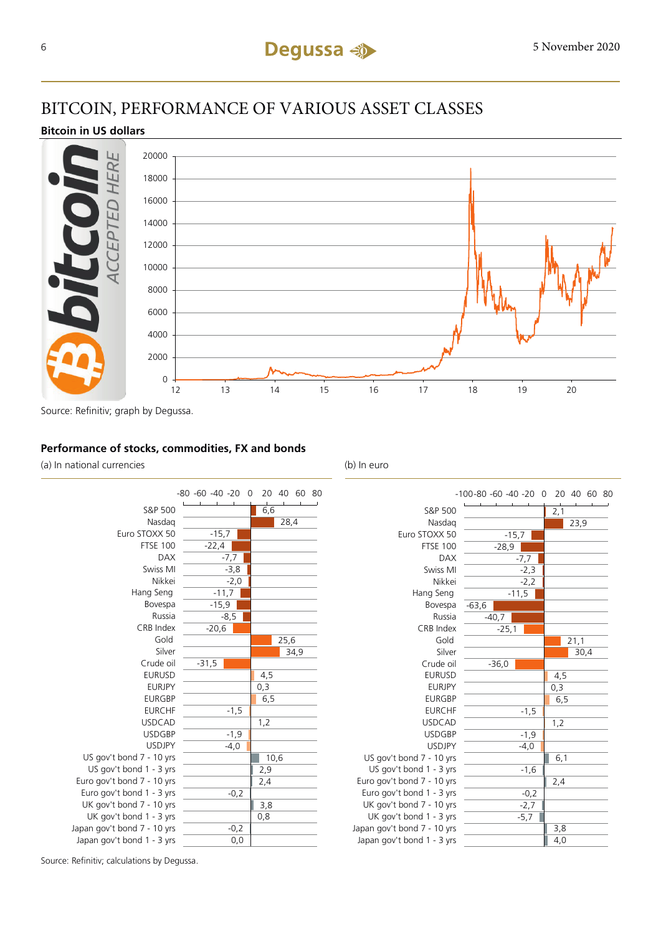### BITCOIN, PERFORMANCE OF VARIOUS ASSET CLASSES

#### **Bitcoin in US dollars**



#### **Performance of stocks, commodities, FX and bonds**

(a) In national currencies (b) In euro



| -100-80 -60 -40 -20 0 20 40 60 80 |                             |
|-----------------------------------|-----------------------------|
|                                   | $\overline{2,1}$            |
|                                   | 23,9                        |
|                                   |                             |
| $-28,9$                           |                             |
| -7,7                              |                             |
| $-2,3$                            |                             |
| $-2,2$                            |                             |
| $-11,5$                           |                             |
| $-63,6$                           |                             |
| $-40,7$                           |                             |
| $-25,1$                           |                             |
|                                   | 21,1                        |
|                                   | 30,4                        |
| $-36,0$                           |                             |
|                                   | 4,5                         |
|                                   | 0,3                         |
|                                   | 6, 5                        |
| $-1,5$                            |                             |
|                                   | 1,2                         |
| $-1,9$                            |                             |
| $-4,0$                            |                             |
|                                   | 6,1                         |
| $-1,6$                            |                             |
|                                   | 2,4                         |
| $-0,2$                            |                             |
|                                   |                             |
|                                   |                             |
|                                   | 3,8                         |
|                                   | 4,0                         |
|                                   | $-15,7$<br>$-2,7$<br>$-5,7$ |

Source: Refinitiv; calculations by Degussa.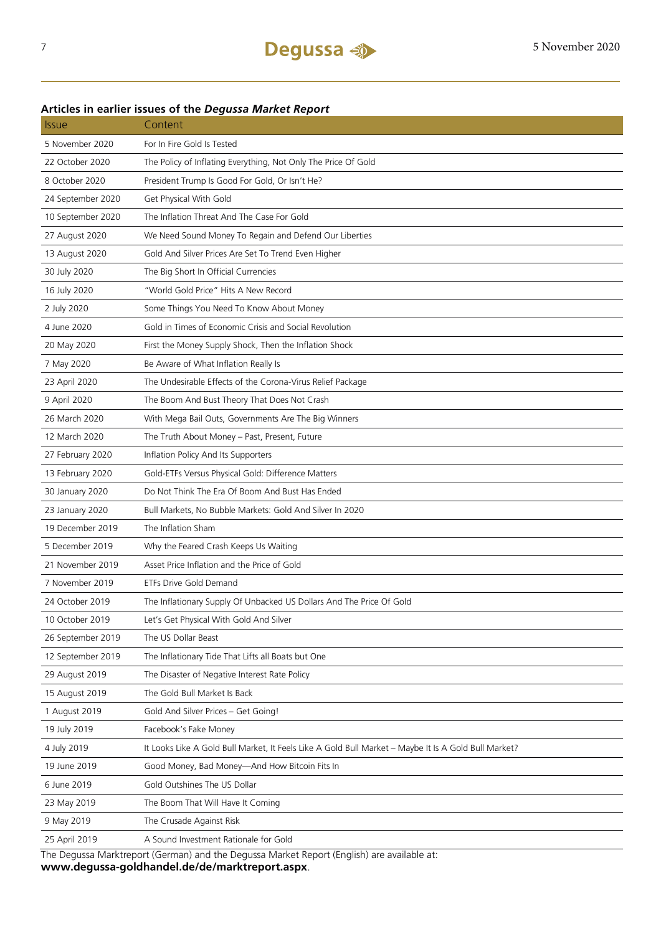### **Articles in earlier issues of the** *Degussa Market Report*

| <i><b>Issue</b></i> | Content                                                                                              |
|---------------------|------------------------------------------------------------------------------------------------------|
| 5 November 2020     | For In Fire Gold Is Tested                                                                           |
| 22 October 2020     | The Policy of Inflating Everything, Not Only The Price Of Gold                                       |
| 8 October 2020      | President Trump Is Good For Gold, Or Isn't He?                                                       |
| 24 September 2020   | Get Physical With Gold                                                                               |
| 10 September 2020   | The Inflation Threat And The Case For Gold                                                           |
| 27 August 2020      | We Need Sound Money To Regain and Defend Our Liberties                                               |
| 13 August 2020      | Gold And Silver Prices Are Set To Trend Even Higher                                                  |
| 30 July 2020        | The Big Short In Official Currencies                                                                 |
| 16 July 2020        | "World Gold Price" Hits A New Record                                                                 |
| 2 July 2020         | Some Things You Need To Know About Money                                                             |
| 4 June 2020         | Gold in Times of Economic Crisis and Social Revolution                                               |
| 20 May 2020         | First the Money Supply Shock, Then the Inflation Shock                                               |
| 7 May 2020          | Be Aware of What Inflation Really Is                                                                 |
| 23 April 2020       | The Undesirable Effects of the Corona-Virus Relief Package                                           |
| 9 April 2020        | The Boom And Bust Theory That Does Not Crash                                                         |
| 26 March 2020       | With Mega Bail Outs, Governments Are The Big Winners                                                 |
| 12 March 2020       | The Truth About Money - Past, Present, Future                                                        |
| 27 February 2020    | Inflation Policy And Its Supporters                                                                  |
| 13 February 2020    | Gold-ETFs Versus Physical Gold: Difference Matters                                                   |
| 30 January 2020     | Do Not Think The Era Of Boom And Bust Has Ended                                                      |
| 23 January 2020     | Bull Markets, No Bubble Markets: Gold And Silver In 2020                                             |
| 19 December 2019    | The Inflation Sham                                                                                   |
| 5 December 2019     | Why the Feared Crash Keeps Us Waiting                                                                |
| 21 November 2019    | Asset Price Inflation and the Price of Gold                                                          |
| 7 November 2019     | <b>ETFs Drive Gold Demand</b>                                                                        |
| 24 October 2019     | The Inflationary Supply Of Unbacked US Dollars And The Price Of Gold                                 |
| 10 October 2019     | Let's Get Physical With Gold And Silver                                                              |
| 26 September 2019   | The US Dollar Beast                                                                                  |
| 12 September 2019   | The Inflationary Tide That Lifts all Boats but One                                                   |
| 29 August 2019      | The Disaster of Negative Interest Rate Policy                                                        |
| 15 August 2019      | The Gold Bull Market Is Back                                                                         |
| 1 August 2019       | Gold And Silver Prices - Get Going!                                                                  |
| 19 July 2019        | Facebook's Fake Money                                                                                |
| 4 July 2019         | It Looks Like A Gold Bull Market, It Feels Like A Gold Bull Market - Maybe It Is A Gold Bull Market? |
| 19 June 2019        | Good Money, Bad Money-And How Bitcoin Fits In                                                        |
| 6 June 2019         | Gold Outshines The US Dollar                                                                         |
| 23 May 2019         | The Boom That Will Have It Coming                                                                    |
| 9 May 2019          | The Crusade Against Risk                                                                             |
| 25 April 2019       | A Sound Investment Rationale for Gold                                                                |
|                     | The Deguses Marktreport (Cerman) and the Deguses Market Benert (English) are available at            |

The Degussa Marktreport (German) and the Degussa Market Report (English) are available at: **www.degussa-goldhandel.de/de/marktreport.aspx**.